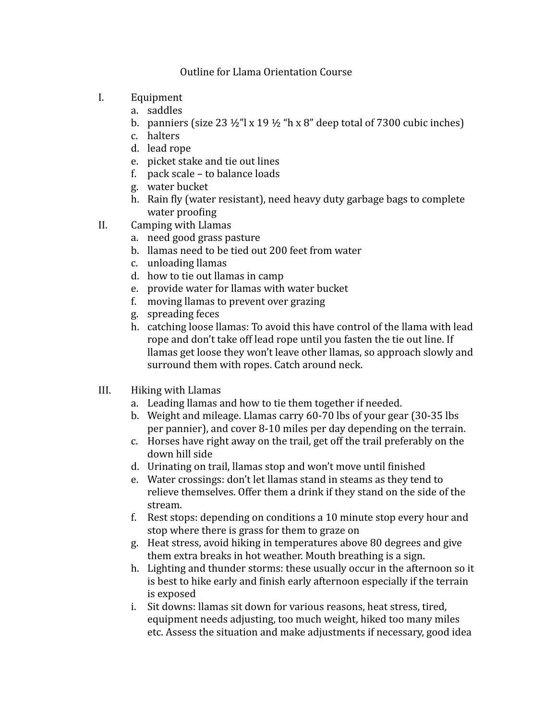## Outline for Llama Orientation Course

- I. Equipment
	- a. saddles
	- b. panniers (size  $23\frac{1}{2}$ " x  $19\frac{1}{2}$  "h x 8" deep total of 7300 cubic inches)
	- c. halters
	- d. lead rope
	- e. picket stake and tie out lines
	- f. pack scale  $-$  to balance loads
	- g. water bucket
	- h. Rain fly (water resistant), need heavy duty garbage bags to complete water proofing
- II. Camping with Llamas
	- a. need good grass pasture
	- b. Ilamas need to be tied out 200 feet from water
	- c. unloading llamas
	- d. how to tie out llamas in camp
	- e. provide water for llamas with water bucket
	- f. moving llamas to prevent over grazing
	- g. spreading feces
	- h. catching loose llamas: To avoid this have control of the llama with lead rope and don't take off lead rope until you fasten the tie out line. If llamas get loose they won't leave other llamas, so approach slowly and surround them with ropes. Catch around neck.
- III. Hiking with Llamas
	- a. Leading llamas and how to tie them together if needed.
	- b. Weight and mileage. Llamas carry  $60-70$  lbs of your gear  $(30-35)$  lbs per pannier), and cover 8-10 miles per day depending on the terrain.
	- c. Horses have right away on the trail, get off the trail preferably on the down hill side
	- d. Urinating on trail, llamas stop and won't move until finished
	- e. Water crossings: don't let llamas stand in steams as they tend to relieve themselves. Offer them a drink if they stand on the side of the stream.
	- f. Rest stops: depending on conditions a 10 minute stop every hour and stop where there is grass for them to graze on
	- g. Heat stress, avoid hiking in temperatures above 80 degrees and give them extra breaks in hot weather. Mouth breathing is a sign.
	- h. Lighting and thunder storms: these usually occur in the afternoon so it is best to hike early and finish early afternoon especially if the terrain is exposed
	- i. Sit downs: llamas sit down for various reasons, heat stress, tired, equipment needs adjusting, too much weight, hiked too many miles etc. Assess the situation and make adjustments if necessary, good idea